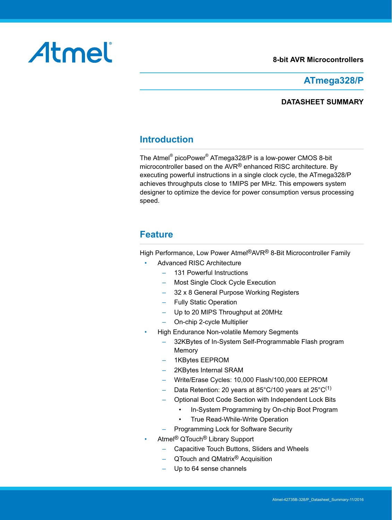#### **8-bit AVR Microcontrollers**

# <span id="page-0-0"></span>Atmel

## **ATmega328/P**

## **DATASHEET SUMMARY**

## **Introduction**

The Atmel<sup>®</sup> picoPower<sup>®</sup> ATmega328/P is a low-power CMOS 8-bit microcontroller based on the AVR® enhanced RISC architecture. By executing powerful instructions in a single clock cycle, the ATmega328/P achieves throughputs close to 1MIPS per MHz. This empowers system designer to optimize the device for power consumption versus processing speed.

## **Feature**

High Performance, Low Power Atmel®AVR® 8-Bit Microcontroller Family

- Advanced RISC Architecture
	- 131 Powerful Instructions
	- Most Single Clock Cycle Execution
	- 32 x 8 General Purpose Working Registers
	- Fully Static Operation
	- Up to 20 MIPS Throughput at 20MHz
	- On-chip 2-cycle Multiplier
- High Endurance Non-volatile Memory Segments
	- 32KBytes of In-System Self-Programmable Flash program Memory
	- 1KBytes EEPROM
	- 2KBytes Internal SRAM
	- Write/Erase Cycles: 10,000 Flash/100,000 EEPROM
	- Data Retention: 20 years at 85°C/100 years at 25°C<sup>(1)</sup>
	- Optional Boot Code Section with Independent Lock Bits
		- In-System Programming by On-chip Boot Program
		- True Read-While-Write Operation
	- Programming Lock for Software Security
- Atmel® QTouch® Library Support
	- Capacitive Touch Buttons, Sliders and Wheels
	- QTouch and QMatrix® Acquisition
	- Up to 64 sense channels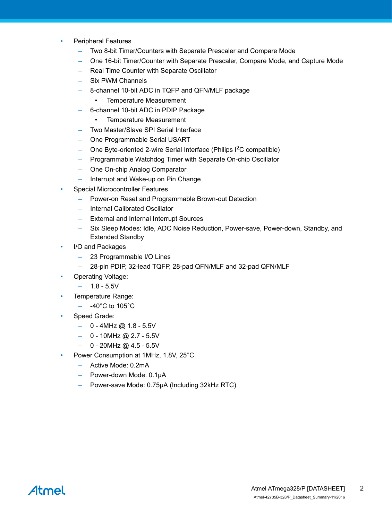- Peripheral Features
	- Two 8-bit Timer/Counters with Separate Prescaler and Compare Mode
	- One 16-bit Timer/Counter with Separate Prescaler, Compare Mode, and Capture Mode
	- Real Time Counter with Separate Oscillator
	- Six PWM Channels
	- 8-channel 10-bit ADC in TQFP and QFN/MLF package
		- Temperature Measurement
	- 6-channel 10-bit ADC in PDIP Package
		- Temperature Measurement
	- Two Master/Slave SPI Serial Interface
	- One Programmable Serial USART
	- One Byte-oriented 2-wire Serial Interface (Philips  $1^2C$  compatible)
	- Programmable Watchdog Timer with Separate On-chip Oscillator
	- One On-chip Analog Comparator
	- Interrupt and Wake-up on Pin Change
- Special Microcontroller Features
	- Power-on Reset and Programmable Brown-out Detection
	- Internal Calibrated Oscillator
	- External and Internal Interrupt Sources
	- Six Sleep Modes: Idle, ADC Noise Reduction, Power-save, Power-down, Standby, and Extended Standby
- I/O and Packages
	- 23 Programmable I/O Lines
	- 28-pin PDIP, 32-lead TQFP, 28-pad QFN/MLF and 32-pad QFN/MLF
- Operating Voltage:
	- 1.8 5.5V
- Temperature Range:
	- $-$  -40°C to 105°C
- Speed Grade:
	- $-$  0 4MHz @ 1.8 5.5V
	- $-$  0 10MHz @ 2.7 5.5V
	- $-$  0 20MHz @ 4.5 5.5V
- Power Consumption at 1MHz, 1.8V, 25°C
	- Active Mode: 0.2mA
	- Power-down Mode: 0.1μA
	- Power-save Mode: 0.75μA (Including 32kHz RTC)

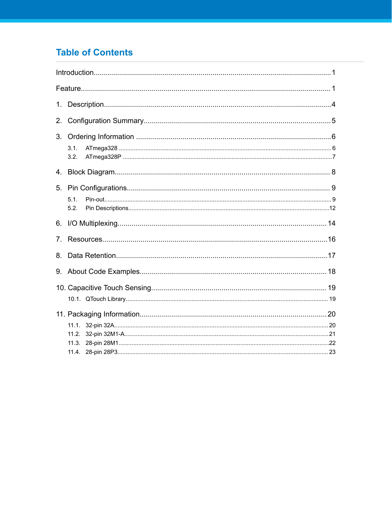# **Table of Contents**

| 1.                             |              |  |
|--------------------------------|--------------|--|
| 2.                             |              |  |
| 3.                             |              |  |
|                                | 3.1.<br>3.2. |  |
| 4.                             |              |  |
| 5.                             | 5.1.<br>5.2. |  |
|                                |              |  |
| $7_{\scriptscriptstyle{\sim}}$ |              |  |
| 8.                             |              |  |
| 9.                             |              |  |
|                                |              |  |
|                                |              |  |
|                                |              |  |
|                                |              |  |
|                                | 11.2.        |  |
|                                |              |  |
|                                |              |  |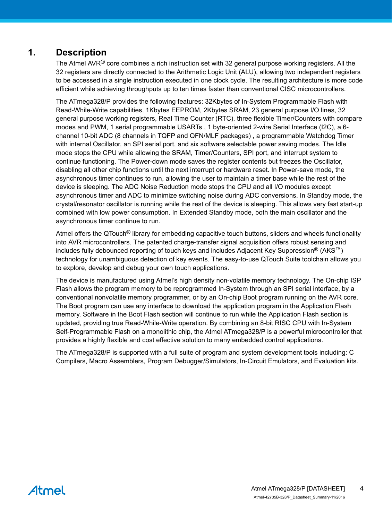## <span id="page-3-0"></span>**1. Description**

The Atmel AVR<sup>®</sup> core combines a rich instruction set with 32 general purpose working registers. All the 32 registers are directly connected to the Arithmetic Logic Unit (ALU), allowing two independent registers to be accessed in a single instruction executed in one clock cycle. The resulting architecture is more code efficient while achieving throughputs up to ten times faster than conventional CISC microcontrollers.

The ATmega328/P provides the following features: 32Kbytes of In-System Programmable Flash with Read-While-Write capabilities, 1Kbytes EEPROM, 2Kbytes SRAM, 23 general purpose I/O lines, 32 general purpose working registers, Real Time Counter (RTC), three flexible Timer/Counters with compare modes and PWM, 1 serial programmable USARTs , 1 byte-oriented 2-wire Serial Interface (I2C), a 6 channel 10-bit ADC (8 channels in TQFP and QFN/MLF packages) , a programmable Watchdog Timer with internal Oscillator, an SPI serial port, and six software selectable power saving modes. The Idle mode stops the CPU while allowing the SRAM, Timer/Counters, SPI port, and interrupt system to continue functioning. The Power-down mode saves the register contents but freezes the Oscillator, disabling all other chip functions until the next interrupt or hardware reset. In Power-save mode, the asynchronous timer continues to run, allowing the user to maintain a timer base while the rest of the device is sleeping. The ADC Noise Reduction mode stops the CPU and all I/O modules except asynchronous timer and ADC to minimize switching noise during ADC conversions. In Standby mode, the crystal/resonator oscillator is running while the rest of the device is sleeping. This allows very fast start-up combined with low power consumption. In Extended Standby mode, both the main oscillator and the asynchronous timer continue to run.

Atmel offers the QTouch® library for embedding capacitive touch buttons, sliders and wheels functionality into AVR microcontrollers. The patented charge-transfer signal acquisition offers robust sensing and includes fully debounced reporting of touch keys and includes Adjacent Key Suppression® (AKS<sup>™</sup>) technology for unambiguous detection of key events. The easy-to-use QTouch Suite toolchain allows you to explore, develop and debug your own touch applications.

The device is manufactured using Atmel's high density non-volatile memory technology. The On-chip ISP Flash allows the program memory to be reprogrammed In-System through an SPI serial interface, by a conventional nonvolatile memory programmer, or by an On-chip Boot program running on the AVR core. The Boot program can use any interface to download the application program in the Application Flash memory. Software in the Boot Flash section will continue to run while the Application Flash section is updated, providing true Read-While-Write operation. By combining an 8-bit RISC CPU with In-System Self-Programmable Flash on a monolithic chip, the Atmel ATmega328/P is a powerful microcontroller that provides a highly flexible and cost effective solution to many embedded control applications.

The ATmega328/P is supported with a full suite of program and system development tools including: C Compilers, Macro Assemblers, Program Debugger/Simulators, In-Circuit Emulators, and Evaluation kits.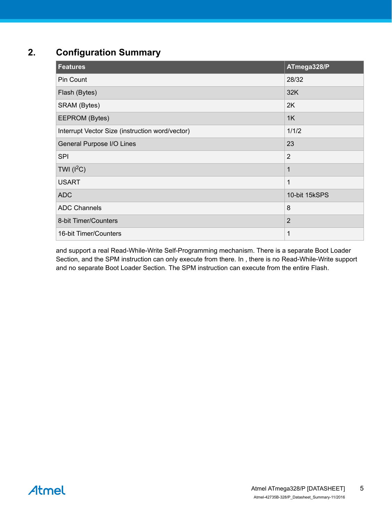# <span id="page-4-0"></span>**2. Configuration Summary**

| <b>Features</b>                                 | ATmega328/P    |
|-------------------------------------------------|----------------|
| Pin Count                                       | 28/32          |
| Flash (Bytes)                                   | 32K            |
| SRAM (Bytes)                                    | 2K             |
| EEPROM (Bytes)                                  | 1K             |
| Interrupt Vector Size (instruction word/vector) | 1/1/2          |
| General Purpose I/O Lines                       | 23             |
| <b>SPI</b>                                      | $\overline{2}$ |
| TWI $(l^2C)$                                    | 1              |
| <b>USART</b>                                    | 1              |
| <b>ADC</b>                                      | 10-bit 15kSPS  |
| <b>ADC Channels</b>                             | 8              |
| 8-bit Timer/Counters                            | $\overline{2}$ |
| 16-bit Timer/Counters                           | 1              |

and support a real Read-While-Write Self-Programming mechanism. There is a separate Boot Loader Section, and the SPM instruction can only execute from there. In , there is no Read-While-Write support and no separate Boot Loader Section. The SPM instruction can execute from the entire Flash.

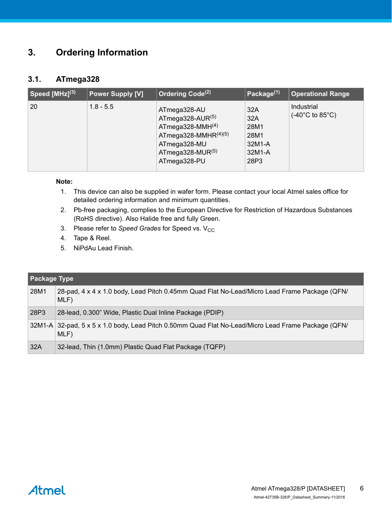# <span id="page-5-0"></span>**3. Ordering Information**

## **3.1. ATmega328**

| Speed [MHz] <sup>(3)</sup> | <b>Power Supply [V]</b> | Ordering Code <sup>(2)</sup>                                                                                                             | Package $(1)$                                          | <b>Operational Range</b>                           |
|----------------------------|-------------------------|------------------------------------------------------------------------------------------------------------------------------------------|--------------------------------------------------------|----------------------------------------------------|
| 20                         | $1.8 - 5.5$             | ATmega328-AU<br>ATmega328-AUR(5)<br>$ATmega328-MMH(4)$<br>ATmega328-MMHR $(4)(5)$<br>ATmega328-MU<br>ATmega328-MUR $(5)$<br>ATmega328-PU | 32A<br>32A<br>28M1<br>28M1<br>32M1-A<br>32M1-A<br>28P3 | Industrial<br>$(-40^{\circ}$ C to 85 $^{\circ}$ C) |

#### **Note:**

- 1. This device can also be supplied in wafer form. Please contact your local Atmel sales office for detailed ordering information and minimum quantities.
- 2. Pb-free packaging, complies to the European Directive for Restriction of Hazardous Substances (RoHS directive). Also Halide free and fully Green.
- 3. Please refer to *Speed Grades* for Speed vs. V<sub>CC</sub>
- 4. Tape & Reel.
- 5. NiPdAu Lead Finish.

| <b>Package Type</b> |                                                                                                             |
|---------------------|-------------------------------------------------------------------------------------------------------------|
| 28M1                | 28-pad, 4 x 4 x 1.0 body, Lead Pitch 0.45mm Quad Flat No-Lead/Micro Lead Frame Package (QFN/<br>MLF)        |
| 28P3                | 28-lead, 0.300" Wide, Plastic Dual Inline Package (PDIP)                                                    |
|                     | 32M1-A 32-pad, 5 x 5 x 1.0 body, Lead Pitch 0.50mm Quad Flat No-Lead/Micro Lead Frame Package (QFN/<br>MLF) |
| 32A                 | 32-lead, Thin (1.0mm) Plastic Quad Flat Package (TQFP)                                                      |

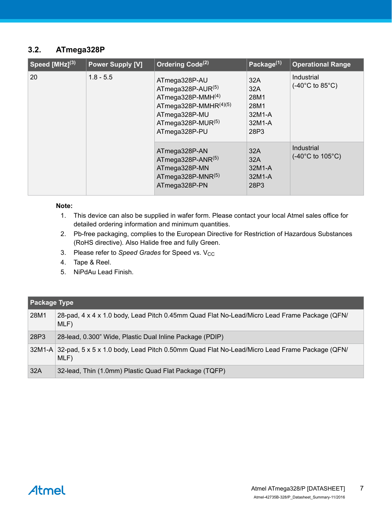## <span id="page-6-0"></span>**3.2. ATmega328P**

| Speed $[MHz]^{(3)}$ | <b>Power Supply [V]</b> | Ordering Code <sup>(2)</sup>                                                                                                                     | Package <sup>(1)</sup>                                 | <b>Operational Range</b>                           |  |  |
|---------------------|-------------------------|--------------------------------------------------------------------------------------------------------------------------------------------------|--------------------------------------------------------|----------------------------------------------------|--|--|
| 20                  | $1.8 - 5.5$             | ATmega328P-AU<br>ATmega328P-AUR $(5)$<br>ATmega328P-MMH $(4)$<br>ATmega328P-MMHR(4)(5)<br>ATmega328P-MU<br>ATmega328P-MUR $(5)$<br>ATmega328P-PU | 32A<br>32A<br>28M1<br>28M1<br>32M1-A<br>32M1-A<br>28P3 | Industrial<br>$(-40^{\circ}$ C to 85 $^{\circ}$ C) |  |  |
|                     |                         | ATmega328P-AN<br>ATmega328P-ANR(5)<br>ATmega328P-MN<br>ATmega328P-MNR $(5)$<br>ATmega328P-PN                                                     | 32A<br>32A<br>32M1-A<br>32M1-A<br>28P3                 | Industrial<br>$(-40^{\circ}$ C to $105^{\circ}$ C) |  |  |

#### **Note:**

- 1. This device can also be supplied in wafer form. Please contact your local Atmel sales office for detailed ordering information and minimum quantities.
- 2. Pb-free packaging, complies to the European Directive for Restriction of Hazardous Substances (RoHS directive). Also Halide free and fully Green.
- 3. Please refer to *Speed Grades* for Speed vs. V<sub>CC</sub>
- 4. Tape & Reel.
- 5. NiPdAu Lead Finish.

| <b>Package Type</b> |                                                                                                             |
|---------------------|-------------------------------------------------------------------------------------------------------------|
| 28M1                | 28-pad, 4 x 4 x 1.0 body, Lead Pitch 0.45mm Quad Flat No-Lead/Micro Lead Frame Package (QFN/<br>MLF)        |
| 28P3                | 28-lead, 0.300" Wide, Plastic Dual Inline Package (PDIP)                                                    |
|                     | 32M1-A 32-pad, 5 x 5 x 1.0 body, Lead Pitch 0.50mm Quad Flat No-Lead/Micro Lead Frame Package (QFN/<br>MLF) |
| 32A                 | 32-lead, Thin (1.0mm) Plastic Quad Flat Package (TQFP)                                                      |

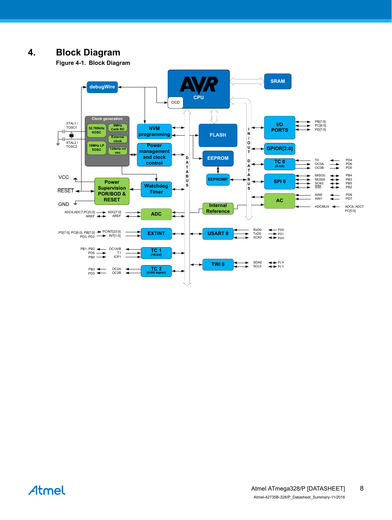# <span id="page-7-0"></span>**4. Block Diagram**

**Figure 4-1. Block Diagram**



Atmel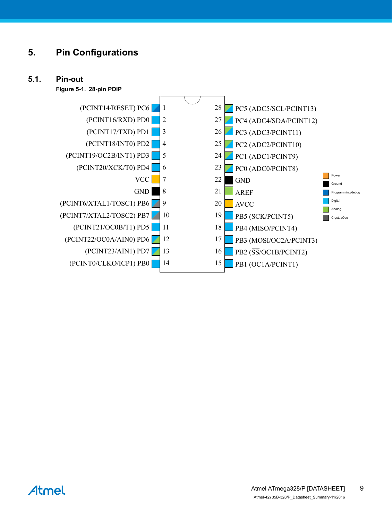# <span id="page-8-0"></span>**5. Pin Configurations**

## **5.1. Pin-out**

**Figure 5-1. 28-pin PDIP**



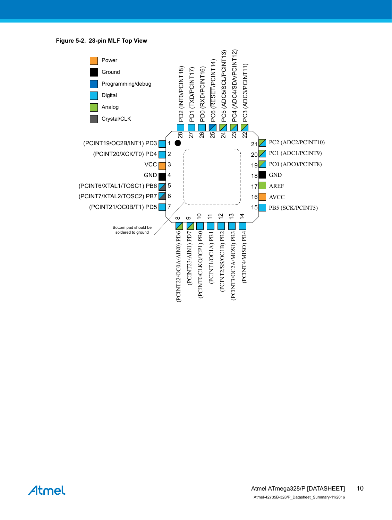**Figure 5-2. 28-pin MLF Top View**



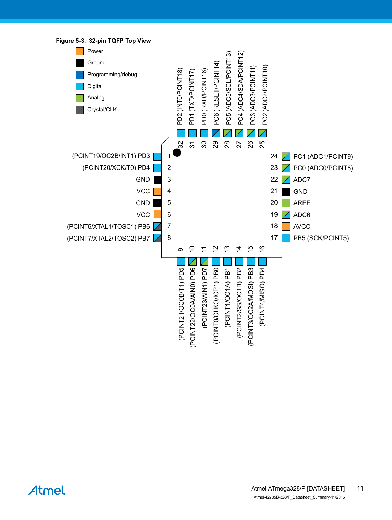

Atmel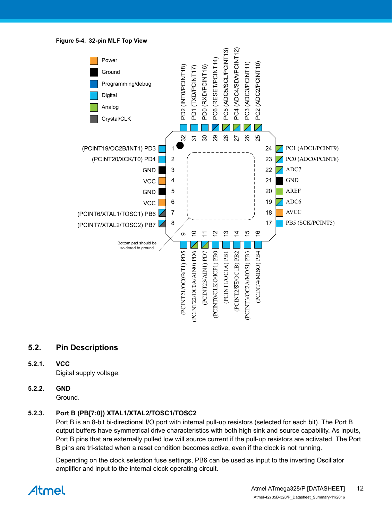<span id="page-11-0"></span>**Figure 5-4. 32-pin MLF Top View**



## **5.2. Pin Descriptions**

#### **5.2.1. VCC**

Digital supply voltage.

## **5.2.2. GND**

Ground.

### **5.2.3. Port B (PB[7:0]) XTAL1/XTAL2/TOSC1/TOSC2**

Port B is an 8-bit bi-directional I/O port with internal pull-up resistors (selected for each bit). The Port B output buffers have symmetrical drive characteristics with both high sink and source capability. As inputs, Port B pins that are externally pulled low will source current if the pull-up resistors are activated. The Port B pins are tri-stated when a reset condition becomes active, even if the clock is not running.

Depending on the clock selection fuse settings, PB6 can be used as input to the inverting Oscillator amplifier and input to the internal clock operating circuit.

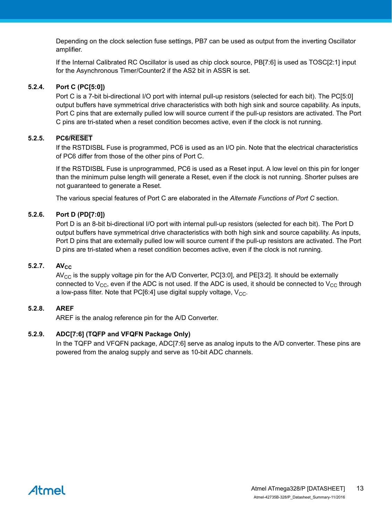Depending on the clock selection fuse settings, PB7 can be used as output from the inverting Oscillator amplifier.

If the Internal Calibrated RC Oscillator is used as chip clock source, PB[7:6] is used as TOSC[2:1] input for the Asynchronous Timer/Counter2 if the AS2 bit in ASSR is set.

#### **5.2.4. Port C (PC[5:0])**

Port C is a 7-bit bi-directional I/O port with internal pull-up resistors (selected for each bit). The PC[5:0] output buffers have symmetrical drive characteristics with both high sink and source capability. As inputs, Port C pins that are externally pulled low will source current if the pull-up resistors are activated. The Port C pins are tri-stated when a reset condition becomes active, even if the clock is not running.

#### **5.2.5. PC6/RESET**

If the RSTDISBL Fuse is programmed, PC6 is used as an I/O pin. Note that the electrical characteristics of PC6 differ from those of the other pins of Port C.

If the RSTDISBL Fuse is unprogrammed, PC6 is used as a Reset input. A low level on this pin for longer than the minimum pulse length will generate a Reset, even if the clock is not running. Shorter pulses are not guaranteed to generate a Reset.

The various special features of Port C are elaborated in the *Alternate Functions of Port C* section.

#### **5.2.6. Port D (PD[7:0])**

Port D is an 8-bit bi-directional I/O port with internal pull-up resistors (selected for each bit). The Port D output buffers have symmetrical drive characteristics with both high sink and source capability. As inputs, Port D pins that are externally pulled low will source current if the pull-up resistors are activated. The Port D pins are tri-stated when a reset condition becomes active, even if the clock is not running.

#### **5.2.7.** AV<sub>CC</sub>

 $AV_{CC}$  is the supply voltage pin for the A/D Converter, PC[3:0], and PE[3:2]. It should be externally connected to  $V_{CC}$ , even if the ADC is not used. If the ADC is used, it should be connected to  $V_{CC}$  through a low-pass filter. Note that PC $[6:4]$  use digital supply voltage,  $V_{CC}$ .

#### **5.2.8. AREF**

AREF is the analog reference pin for the A/D Converter.

#### **5.2.9. ADC[7:6] (TQFP and VFQFN Package Only)**

In the TQFP and VFQFN package, ADC[7:6] serve as analog inputs to the A/D converter. These pins are powered from the analog supply and serve as 10-bit ADC channels.

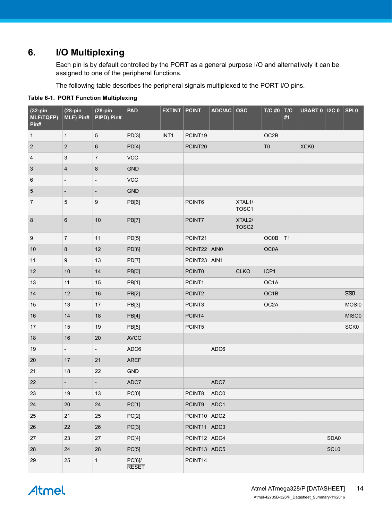# <span id="page-13-0"></span>**6. I/O Multiplexing**

Each pin is by default controlled by the PORT as a general purpose I/O and alternatively it can be assigned to one of the peripheral functions.

The following table describes the peripheral signals multiplexed to the PORT I/O pins.

| $(32-pin)$<br><b>MLF/TQFP)</b><br>Pin# | $(28-pin$<br>MLF) Pin#   | $(28-pin)$<br>PIPD) Pin# | <b>PAD</b>            | <b>EXTINT</b>    | <b>PCINT</b>  | ADC/AC | <b>OSC</b>                               | $T/C$ #0          | $\vert$ T/C<br>#1 | <b>USART 0   I2C 0</b> |             | SPI <sub>0</sub>        |
|----------------------------------------|--------------------------|--------------------------|-----------------------|------------------|---------------|--------|------------------------------------------|-------------------|-------------------|------------------------|-------------|-------------------------|
| $\mathbf{1}$                           | $\mathbf{1}$             | 5                        | PD[3]                 | INT <sub>1</sub> | PCINT19       |        |                                          | OC2B              |                   |                        |             |                         |
| $\overline{2}$                         | $\sqrt{2}$               | 6                        | PD[4]                 |                  | PCINT20       |        |                                          | T <sub>0</sub>    |                   | XCK0                   |             |                         |
| $\overline{4}$                         | $\sqrt{3}$               | 7                        | VCC                   |                  |               |        |                                          |                   |                   |                        |             |                         |
| 3                                      | $\overline{\mathbf{4}}$  | 8                        | <b>GND</b>            |                  |               |        |                                          |                   |                   |                        |             |                         |
| 6                                      | $\overline{\phantom{a}}$ |                          | VCC                   |                  |               |        |                                          |                   |                   |                        |             |                         |
| 5                                      | $\overline{\phantom{a}}$ | $\overline{a}$           | <b>GND</b>            |                  |               |        |                                          |                   |                   |                        |             |                         |
| $\overline{7}$                         | $\mathbf 5$              | 9                        | PB[6]                 |                  | PCINT6        |        | XTAL1/<br>TOSC1                          |                   |                   |                        |             |                         |
| 8                                      | $\,6\,$                  | 10                       | <b>PB[7]</b>          |                  | PCINT7        |        | XTAL <sub>2</sub> /<br>TOSC <sub>2</sub> |                   |                   |                        |             |                         |
| 9                                      | $\overline{7}$           | 11                       | PD[5]                 |                  | PCINT21       |        |                                          | <b>OC0B</b>       | T1                |                        |             |                         |
| $10$                                   | $\bf 8$                  | 12                       | PD[6]                 |                  | PCINT22 AIN0  |        |                                          | <b>OC0A</b>       |                   |                        |             |                         |
| 11                                     | $\boldsymbol{9}$         | 13                       | PD[7]                 |                  | PCINT23       | AIN1   |                                          |                   |                   |                        |             |                         |
| 12                                     | 10                       | 14                       | PB[0]                 |                  | <b>PCINT0</b> |        | <b>CLKO</b>                              | ICP1              |                   |                        |             |                         |
| 13                                     | 11                       | 15                       | PB[1]                 |                  | PCINT1        |        |                                          | OC1A              |                   |                        |             |                         |
| 14                                     | 12                       | 16                       | PB[2]                 |                  | PCINT2        |        |                                          | OC1B              |                   |                        |             | $\overline{\text{SS0}}$ |
| 15                                     | 13                       | 17                       | PB[3]                 |                  | PCINT3        |        |                                          | OC <sub>2</sub> A |                   |                        |             | MOSI0                   |
| 16                                     | 14                       | 18                       | PB[4]                 |                  | PCINT4        |        |                                          |                   |                   |                        |             | MISO0                   |
| 17                                     | 15                       | 19                       | PB[5]                 |                  | PCINT5        |        |                                          |                   |                   |                        |             | SCK0                    |
| 18                                     | 16                       | 20                       | <b>AVCC</b>           |                  |               |        |                                          |                   |                   |                        |             |                         |
| 19                                     | $\blacksquare$           | $\overline{\phantom{0}}$ | ADC6                  |                  |               | ADC6   |                                          |                   |                   |                        |             |                         |
| 20                                     | 17                       | 21                       | <b>AREF</b>           |                  |               |        |                                          |                   |                   |                        |             |                         |
| 21                                     | 18                       | 22                       | GND                   |                  |               |        |                                          |                   |                   |                        |             |                         |
| 22                                     | $\overline{\phantom{a}}$ | -                        | ADC7                  |                  |               | ADC7   |                                          |                   |                   |                        |             |                         |
| 23                                     | 19                       | 13                       | PC[0]                 |                  | PCINT8        | ADC0   |                                          |                   |                   |                        |             |                         |
| 24                                     | $20\,$                   | $24\,$                   | PC[1]                 |                  | PCINT9        | ADC1   |                                          |                   |                   |                        |             |                         |
| 25                                     | 21                       | 25                       | PC[2]                 |                  | PCINT10 ADC2  |        |                                          |                   |                   |                        |             |                         |
| 26                                     | 22                       | 26                       | PC[3]                 |                  | PCINT11 ADC3  |        |                                          |                   |                   |                        |             |                         |
| 27                                     | 23                       | 27                       | PC[4]                 |                  | PCINT12 ADC4  |        |                                          |                   |                   |                        | SDA0        |                         |
| 28                                     | 24                       | 28                       | PC[5]                 |                  | PCINT13 ADC5  |        |                                          |                   |                   |                        | <b>SCLO</b> |                         |
| 29                                     | 25                       | $\mathbf{1}$             | PC[6]<br><b>RESET</b> |                  | PCINT14       |        |                                          |                   |                   |                        |             |                         |

#### **Table 6-1. PORT Function Multiplexing**

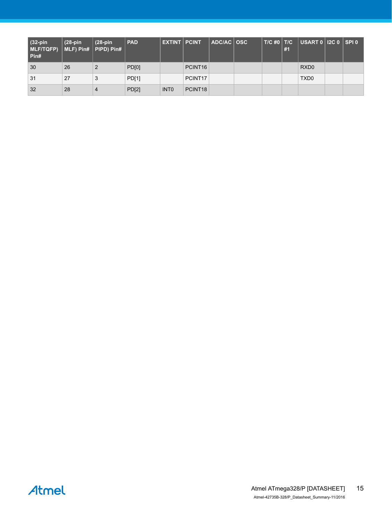| $(32-pin)$<br>$MLF/TQFP)$ $MLF$ ) Pin# PIPD) Pin#<br>Pin# | $(28-pin)$ | $(28-pin)$ | <b>PAD</b>   | <b>EXTINT PCINT</b> |                     | $ADC/AC$ $OSC$ | $T/C$ #0   $T/C$ | #1 | $\vert$ USART 0 $\vert$ I2C 0 $\vert$ SPI 0 |  |
|-----------------------------------------------------------|------------|------------|--------------|---------------------|---------------------|----------------|------------------|----|---------------------------------------------|--|
| 30                                                        | 26         |            | PD[0]        |                     | PCINT <sub>16</sub> |                |                  |    | RXD <sub>0</sub>                            |  |
| 31                                                        | 27         | 3          | <b>PD[1]</b> |                     | PCINT <sub>17</sub> |                |                  |    | TXD <sub>0</sub>                            |  |
| 32                                                        | 28         |            | <b>PD[2]</b> | INT <sub>0</sub>    | PCINT <sub>18</sub> |                |                  |    |                                             |  |

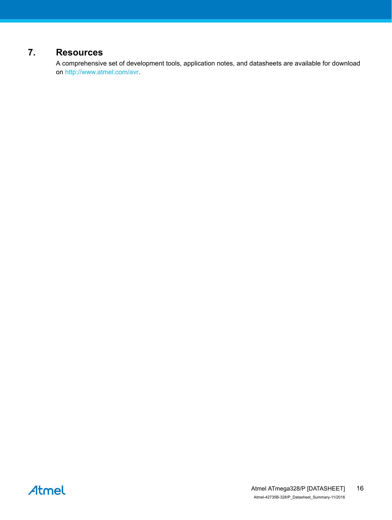# <span id="page-15-0"></span>**7. Resources**

A comprehensive set of development tools, application notes, and datasheets are available for download on [http://www.atmel.com/avr.](http://www.atmel.com/avr)

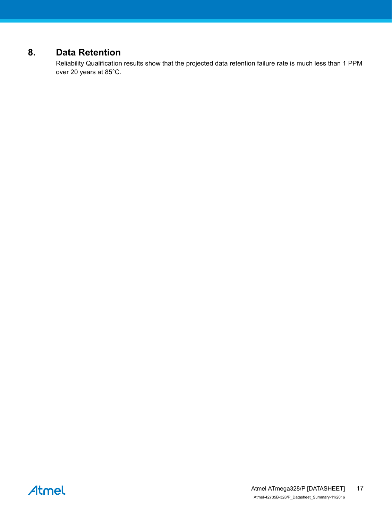# <span id="page-16-0"></span>**8. Data Retention**

Reliability Qualification results show that the projected data retention failure rate is much less than 1 PPM over 20 years at 85°C.

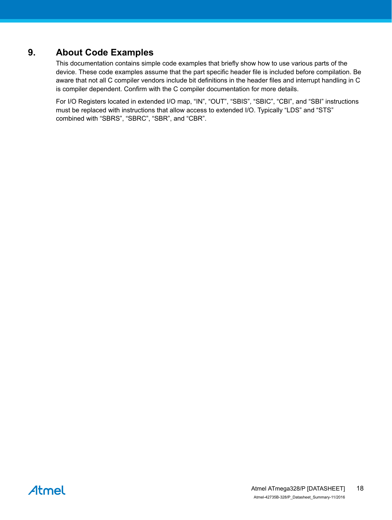# <span id="page-17-0"></span>**9. About Code Examples**

This documentation contains simple code examples that briefly show how to use various parts of the device. These code examples assume that the part specific header file is included before compilation. Be aware that not all C compiler vendors include bit definitions in the header files and interrupt handling in C is compiler dependent. Confirm with the C compiler documentation for more details.

For I/O Registers located in extended I/O map, "IN", "OUT", "SBIS", "SBIC", "CBI", and "SBI" instructions must be replaced with instructions that allow access to extended I/O. Typically "LDS" and "STS" combined with "SBRS", "SBRC", "SBR", and "CBR".

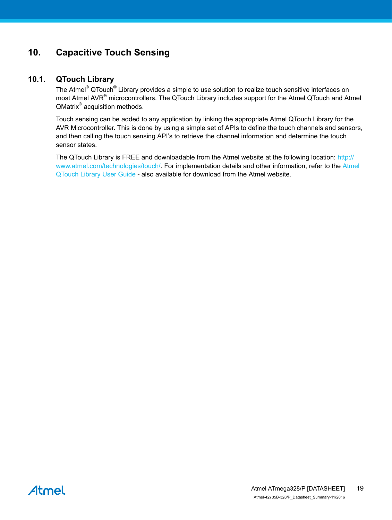# <span id="page-18-0"></span>**10. Capacitive Touch Sensing**

## **10.1. QTouch Library**

The Atmel<sup>®</sup> QTouch<sup>®</sup> Library provides a simple to use solution to realize touch sensitive interfaces on most Atmel AVR<sup>®</sup> microcontrollers. The QTouch Library includes support for the Atmel QTouch and Atmel QMatrix<sup>®</sup> acquisition methods.

Touch sensing can be added to any application by linking the appropriate Atmel QTouch Library for the AVR Microcontroller. This is done by using a simple set of APIs to define the touch channels and sensors, and then calling the touch sensing API's to retrieve the channel information and determine the touch sensor states.

The QTouch Library is FREE and downloadable from the Atmel website at the following location: [http://](http://www.atmel.com/technologies/touch/) [www.atmel.com/technologies/touch/](http://www.atmel.com/technologies/touch/). For implementation details and other information, refer to the [Atmel](http://www.atmel.com/dyn/resources/prod_documents/doc8207.pdf) [QTouch Library User Guide](http://www.atmel.com/dyn/resources/prod_documents/doc8207.pdf) - also available for download from the Atmel website.

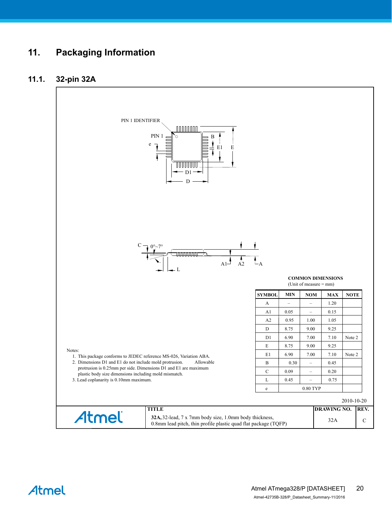# <span id="page-19-0"></span>**11. Packaging Information**

## **11.1. 32-pin 32A**



Atmel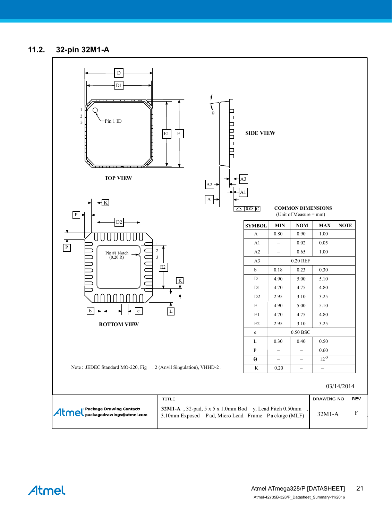## <span id="page-20-0"></span>**11.2. 32-pin 32M1-A**



Atmel

Atmel ATmega328/P [DATASHEET] Atmel-42735B-328/P\_Datasheet\_Summary-11/2016 21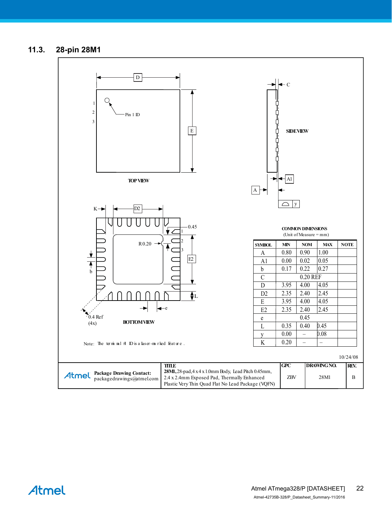## <span id="page-21-0"></span>**11.3. 28-pin 28M1**



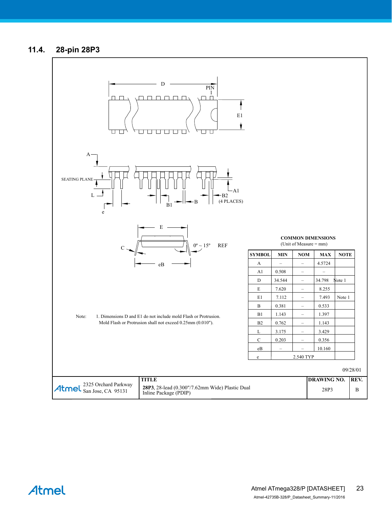## <span id="page-22-0"></span>**11.4. 28-pin 28P3**